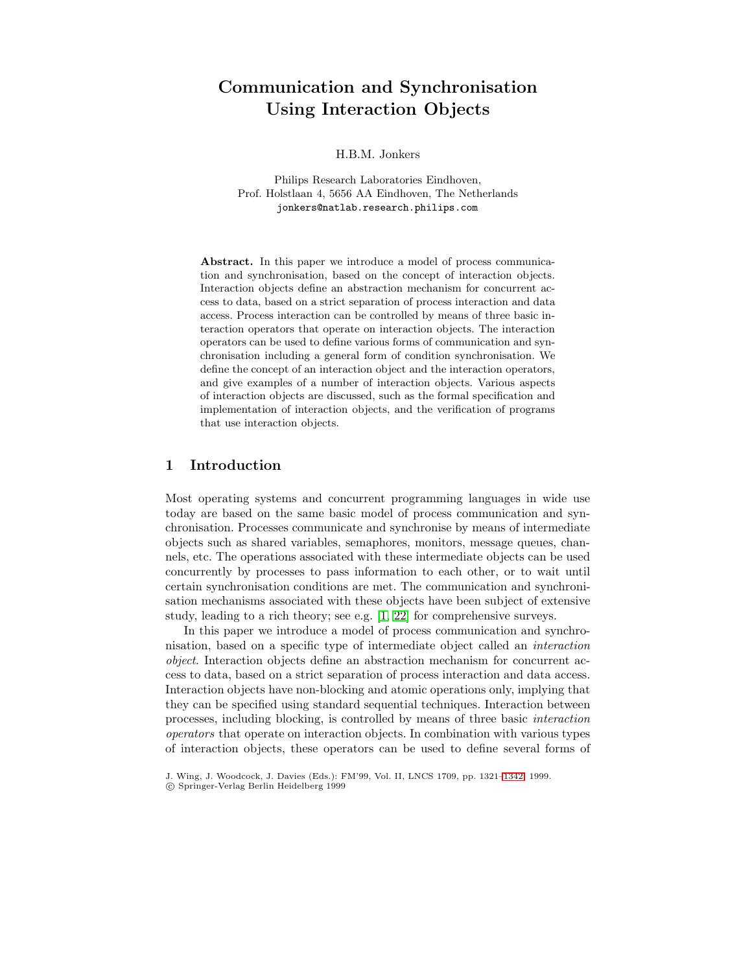# **Communication and Synchronisation Using Interaction Objects**

H.B.M. Jonkers

Philips Research Laboratories Eindhoven, Prof. Holstlaan 4, 5656 AA Eindhoven, The Netherlands jonkers@natlab.research.philips.com

**Abstract.** In this paper we introduce a model of process communication and synchronisation, based on the concept of interaction objects. Interaction objects define an abstraction mechanism for concurrent access to data, based on a strict separation of process interaction and data access. Process interaction can be controlled by means of three basic interaction operators that operate on interaction objects. The interaction operators can be used to define various forms of communication and synchronisation including a general form of condition synchronisation. We define the concept of an interaction object and the interaction operators, and give examples of a number of interaction objects. Various aspects of interaction objects are discussed, such as the formal specification and implementation of interaction objects, and the verification of programs that use interaction objects.

### **1 Introduction**

Most operating systems and concurrent programming languages in wide use today are based on the same basic model of process communication and synchronisation. Processes communicate and synchronise by means of intermediate objects such as shared variables, semaphores, monitors, message queues, channels, etc. The operations associated with these intermediate objects can be used concurrently by processes to pass information to each other, or to wait until certain synchronisation conditions are met. The communication and synchronisation mechanisms associated with these objects have been subject of extensive study, leading to a rich theory; see e.g. [\[1,](#page-21-0) [22\]](#page-21-1) for comprehensive surveys.

In this paper we introduce a model of process communication and synchronisation, based on a specific type of intermediate object called an *interaction object*. Interaction objects define an abstraction mechanism for concurrent access to data, based on a strict separation of process interaction and data access. Interaction objects have non-blocking and atomic operations only, implying that they can be specified using standard sequential techniques. Interaction between processes, including blocking, is controlled by means of three basic *interaction operators* that operate on interaction objects. In combination with various types of interaction objects, these operators can be used to define several forms of

J. Wing, J. Woodcock, J. Davies (Eds.): FM'99, Vol. II, LNCS 1709, pp. 1321[–1342,](#page-21-2) 1999.

c Springer-Verlag Berlin Heidelberg 1999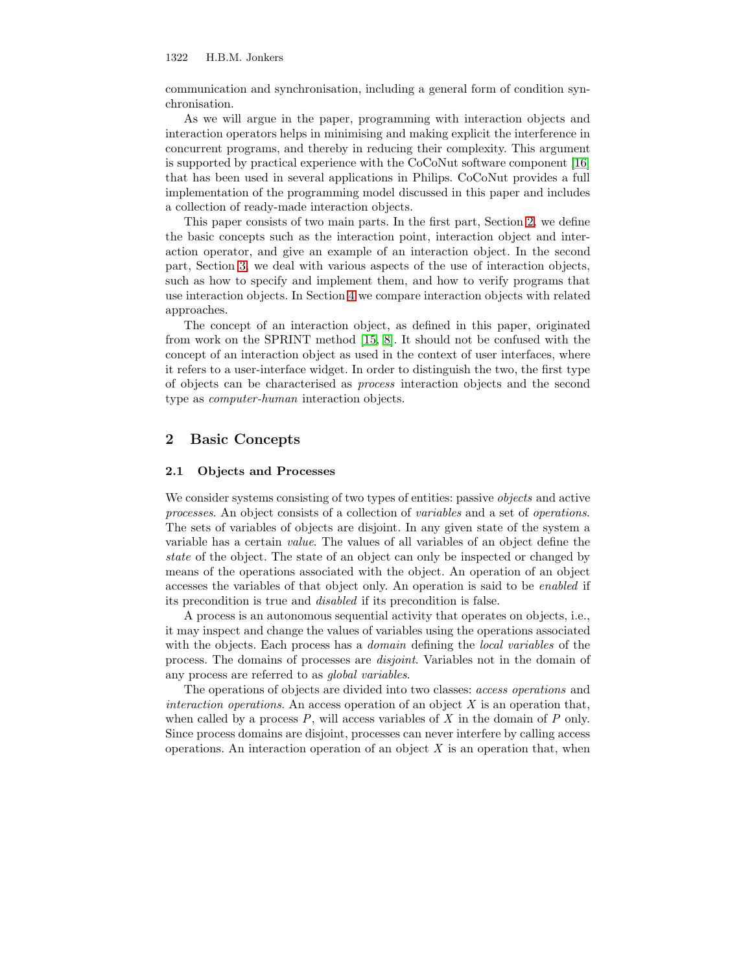communication and synchronisation, including a general form of condition synchronisation.

As we will argue in the paper, programming with interaction objects and interaction operators helps in minimising and making explicit the interference in concurrent programs, and thereby in reducing their complexity. This argument is supported by practical experience with the CoCoNut software component [\[16\]](#page-21-3) that has been used in several applications in Philips. CoCoNut provides a full implementation of the programming model discussed in this paper and includes a collection of ready-made interaction objects.

This paper consists of two main parts. In the first part, Section [2,](#page-1-0) we define the basic concepts such as the interaction point, interaction object and interaction operator, and give an example of an interaction object. In the second part, Section [3,](#page-10-0) we deal with various aspects of the use of interaction objects, such as how to specify and implement them, and how to verify programs that use interaction objects. In Section [4](#page-19-0) we compare interaction objects with related approaches.

The concept of an interaction object, as defined in this paper, originated from work on the SPRINT method [\[15,](#page-21-4) [8\]](#page-21-5). It should not be confused with the concept of an interaction object as used in the context of user interfaces, where it refers to a user-interface widget. In order to distinguish the two, the first type of objects can be characterised as *process* interaction objects and the second type as *computer-human* interaction objects.

# <span id="page-1-0"></span>**2 Basic Concepts**

### **2.1 Objects and Processes**

We consider systems consisting of two types of entities: passive *objects* and active *processes*. An object consists of a collection of *variables* and a set of *operations*. The sets of variables of objects are disjoint. In any given state of the system a variable has a certain *value*. The values of all variables of an object define the *state* of the object. The state of an object can only be inspected or changed by means of the operations associated with the object. An operation of an object accesses the variables of that object only. An operation is said to be *enabled* if its precondition is true and *disabled* if its precondition is false.

A process is an autonomous sequential activity that operates on objects, i.e., it may inspect and change the values of variables using the operations associated with the objects. Each process has a *domain* defining the *local variables* of the process. The domains of processes are *disjoint*. Variables not in the domain of any process are referred to as *global variables*.

The operations of objects are divided into two classes: *access operations* and *interaction operations*. An access operation of an object *X* is an operation that, when called by a process *P*, will access variables of *X* in the domain of *P* only. Since process domains are disjoint, processes can never interfere by calling access operations. An interaction operation of an object *X* is an operation that, when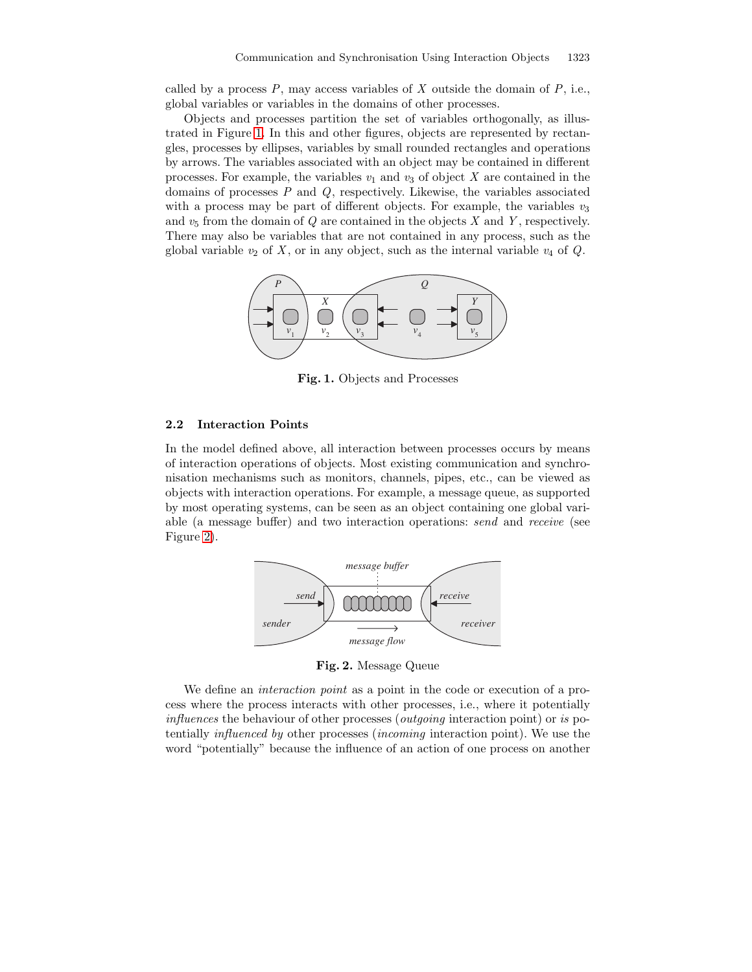called by a process *P*, may access variables of *X* outside the domain of *P*, i.e., global variables or variables in the domains of other processes.

Objects and processes partition the set of variables orthogonally, as illustrated in Figure [1.](#page-2-0) In this and other figures, objects are represented by rectangles, processes by ellipses, variables by small rounded rectangles and operations by arrows. The variables associated with an object may be contained in different processes. For example, the variables  $v_1$  and  $v_3$  of object  $X$  are contained in the domains of processes *P* and *Q*, respectively. Likewise, the variables associated with a process may be part of different objects. For example, the variables  $v_3$ and *v*<sup>5</sup> from the domain of *Q* are contained in the objects *X* and *Y* , respectively. There may also be variables that are not contained in any process, such as the global variable  $v_2$  of X, or in any object, such as the internal variable  $v_4$  of  $Q$ .



<span id="page-2-0"></span>**Fig. 1.** Objects and Processes

#### **2.2 Interaction Points**

In the model defined above, all interaction between processes occurs by means of interaction operations of objects. Most existing communication and synchronisation mechanisms such as monitors, channels, pipes, etc., can be viewed as objects with interaction operations. For example, a message queue, as supported by most operating systems, can be seen as an object containing one global variable (a message buffer) and two interaction operations: *send* and *receive* (see Figure [2\)](#page-2-1).



<span id="page-2-1"></span>**Fig. 2.** Message Queue

We define an *interaction point* as a point in the code or execution of a process where the process interacts with other processes, i.e., where it potentially *influences* the behaviour of other processes (*outgoing* interaction point) or *is* potentially *influenced by* other processes (*incoming* interaction point). We use the word "potentially" because the influence of an action of one process on another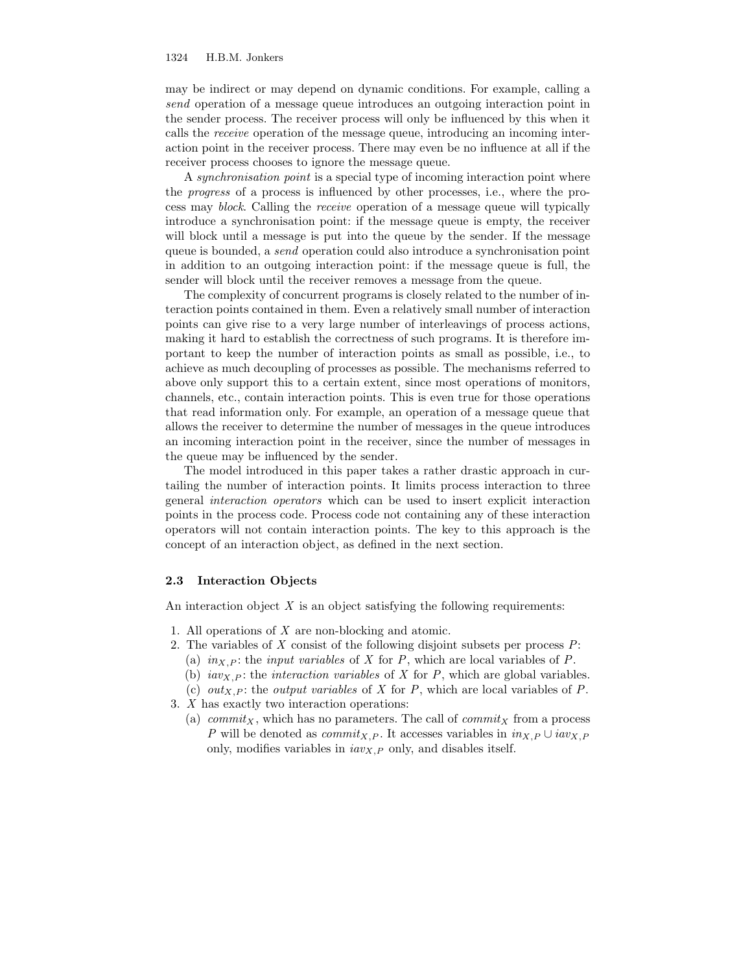may be indirect or may depend on dynamic conditions. For example, calling a *send* operation of a message queue introduces an outgoing interaction point in the sender process. The receiver process will only be influenced by this when it calls the *receive* operation of the message queue, introducing an incoming interaction point in the receiver process. There may even be no influence at all if the receiver process chooses to ignore the message queue.

A *synchronisation point* is a special type of incoming interaction point where the *progress* of a process is influenced by other processes, i.e., where the process may *block*. Calling the *receive* operation of a message queue will typically introduce a synchronisation point: if the message queue is empty, the receiver will block until a message is put into the queue by the sender. If the message queue is bounded, a *send* operation could also introduce a synchronisation point in addition to an outgoing interaction point: if the message queue is full, the sender will block until the receiver removes a message from the queue.

The complexity of concurrent programs is closely related to the number of interaction points contained in them. Even a relatively small number of interaction points can give rise to a very large number of interleavings of process actions, making it hard to establish the correctness of such programs. It is therefore important to keep the number of interaction points as small as possible, i.e., to achieve as much decoupling of processes as possible. The mechanisms referred to above only support this to a certain extent, since most operations of monitors, channels, etc., contain interaction points. This is even true for those operations that read information only. For example, an operation of a message queue that allows the receiver to determine the number of messages in the queue introduces an incoming interaction point in the receiver, since the number of messages in the queue may be influenced by the sender.

The model introduced in this paper takes a rather drastic approach in curtailing the number of interaction points. It limits process interaction to three general *interaction operators* which can be used to insert explicit interaction points in the process code. Process code not containing any of these interaction operators will not contain interaction points. The key to this approach is the concept of an interaction object, as defined in the next section.

### **2.3 Interaction Objects**

An interaction object *X* is an object satisfying the following requirements:

- 1. All operations of *X* are non-blocking and atomic.
- 2. The variables of *X* consist of the following disjoint subsets per process *P*:
	- (a)  $in_{X,P}$ : the *input variables* of *X* for *P*, which are local variables of *P*.
	- (b)  $iav_{X,P}$ : the *interaction variables* of X for P, which are global variables.
	- (c) *out*<sub>X,P</sub>: the *output variables* of *X* for *P*, which are local variables of *P*.
- 3. *X* has exactly two interaction operations:
	- (a)  $commit_X$ , which has no parameters. The call of  $commit_X$  from a process *P* will be denoted as *commit<sub>X</sub>*,  $_P$ . It accesses variables in  $in_{X,P} \cup iav_{X,P}$ only, modifies variables in  $iav_{X,P}$  only, and disables itself.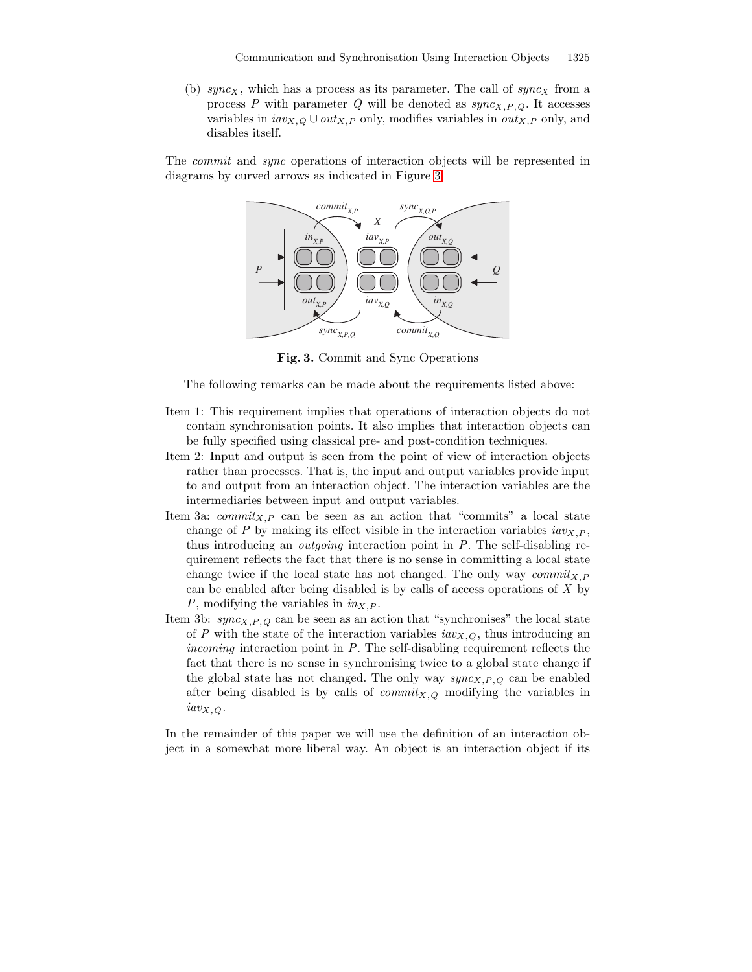(b)  $sync<sub>X</sub>$ , which has a process as its parameter. The call of  $sync<sub>X</sub>$  from a process P with parameter  $Q$  will be denoted as  $sync_{X,P,Q}$ . It accesses variables in  $i\alpha v_{X,Q} \cup \text{out}_{X,P}$  only, modifies variables in  $\text{out}_{X,P}$  only, and disables itself.

The *commit* and *sync* operations of interaction objects will be represented in diagrams by curved arrows as indicated in Figure [3.](#page-4-0)



<span id="page-4-0"></span>**Fig. 3.** Commit and Sync Operations

The following remarks can be made about the requirements listed above:

- Item 1: This requirement implies that operations of interaction objects do not contain synchronisation points. It also implies that interaction objects can be fully specified using classical pre- and post-condition techniques.
- Item 2: Input and output is seen from the point of view of interaction objects rather than processes. That is, the input and output variables provide input to and output from an interaction object. The interaction variables are the intermediaries between input and output variables.
- Item 3a:  $commit_{X,P}$  can be seen as an action that "commits" a local state change of *P* by making its effect visible in the interaction variables  $iav_X p$ , thus introducing an *outgoing* interaction point in *P*. The self-disabling requirement reflects the fact that there is no sense in committing a local state change twice if the local state has not changed. The only way  $commit_{X,P}$ can be enabled after being disabled is by calls of access operations of *X* by *P*, modifying the variables in  $in_{X,P}$ .
- Item 3b:  $sync_{X.P.Q}$  can be seen as an action that "synchronises" the local state of *P* with the state of the interaction variables  $iav_{X,Q}$ , thus introducing an *incoming* interaction point in *P*. The self-disabling requirement reflects the fact that there is no sense in synchronising twice to a global state change if the global state has not changed. The only way  $\textit{sync}_{X,P,Q}$  can be enabled after being disabled is by calls of  $commit_{X,Q}$  modifying the variables in  $iav_{X,Q}$ .

In the remainder of this paper we will use the definition of an interaction object in a somewhat more liberal way. An object is an interaction object if its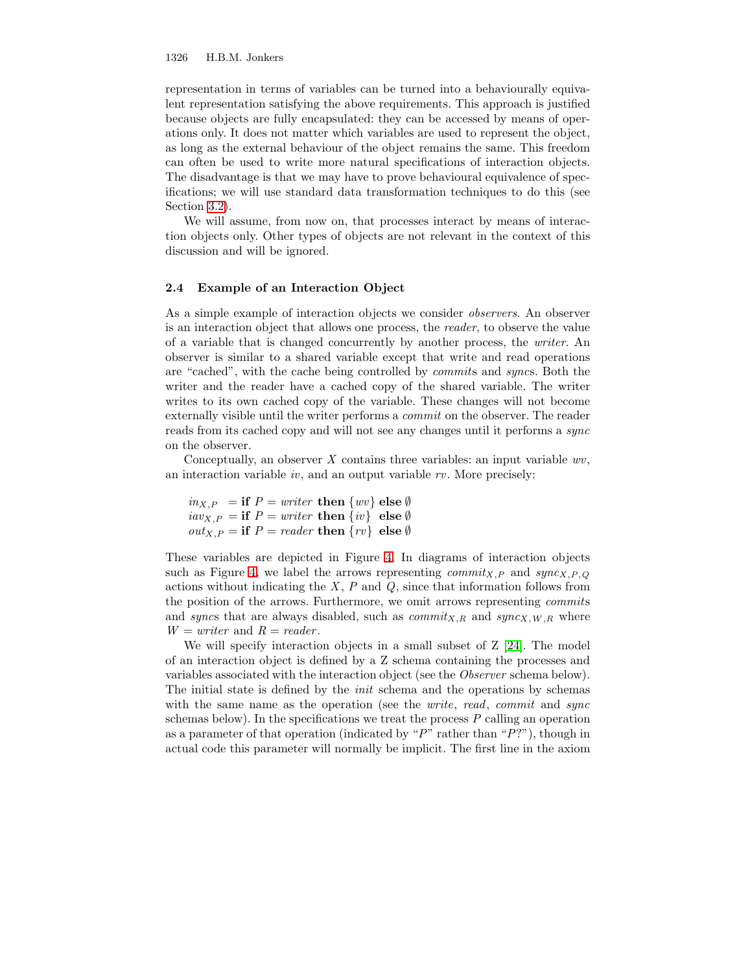representation in terms of variables can be turned into a behaviourally equivalent representation satisfying the above requirements. This approach is justified because objects are fully encapsulated: they can be accessed by means of operations only. It does not matter which variables are used to represent the object, as long as the external behaviour of the object remains the same. This freedom can often be used to write more natural specifications of interaction objects. The disadvantage is that we may have to prove behavioural equivalence of specifications; we will use standard data transformation techniques to do this (see Section [3.2\)](#page-11-0).

We will assume, from now on, that processes interact by means of interaction objects only. Other types of objects are not relevant in the context of this discussion and will be ignored.

### <span id="page-5-0"></span>**2.4 Example of an Interaction Object**

As a simple example of interaction objects we consider *observers*. An observer is an interaction object that allows one process, the *reader*, to observe the value of a variable that is changed concurrently by another process, the *writer*. An observer is similar to a shared variable except that write and read operations are "cached", with the cache being controlled by *commit*s and *sync*s. Both the writer and the reader have a cached copy of the shared variable. The writer writes to its own cached copy of the variable. These changes will not become externally visible until the writer performs a *commit* on the observer. The reader reads from its cached copy and will not see any changes until it performs a *sync* on the observer.

Conceptually, an observer *X* contains three variables: an input variable *wv*, an interaction variable *iv*, and an output variable *rv*. More precisely:

$$
in_{X,P} = \textbf{if } P = writer \textbf{ then } \{wv\} \textbf{ else } \emptyset
$$
  

$$
iav_{X,P} = \textbf{if } P = writer \textbf{ then } \{iv\} \textbf{ else } \emptyset
$$
  

$$
out_{X,P} = \textbf{if } P = reader \textbf{ then } \{rv\} \textbf{ else } \emptyset
$$

These variables are depicted in Figure [4.](#page-6-0) In diagrams of interaction objects such as Figure [4,](#page-6-0) we label the arrows representing  $commit_{X,P}$  and  $sync_{X,P,Q}$ actions without indicating the *X* , *P* and *Q*, since that information follows from the position of the arrows. Furthermore, we omit arrows representing *commit*s and *syncs* that are always disabled, such as  $commit_{X,R}$  and  $sync_{X,W,R}$  where  $W = writer$  and  $R = reader$ .

We will specify interaction objects in a small subset of Z [\[24\]](#page-21-6). The model of an interaction object is defined by a Z schema containing the processes and variables associated with the interaction object (see the *Observer* schema below). The initial state is defined by the *init* schema and the operations by schemas with the same name as the operation (see the *write*, *read*, *commit* and *sync* schemas below). In the specifications we treat the process *P* calling an operation as a parameter of that operation (indicated by "*P*" rather than "*P*?"), though in actual code this parameter will normally be implicit. The first line in the axiom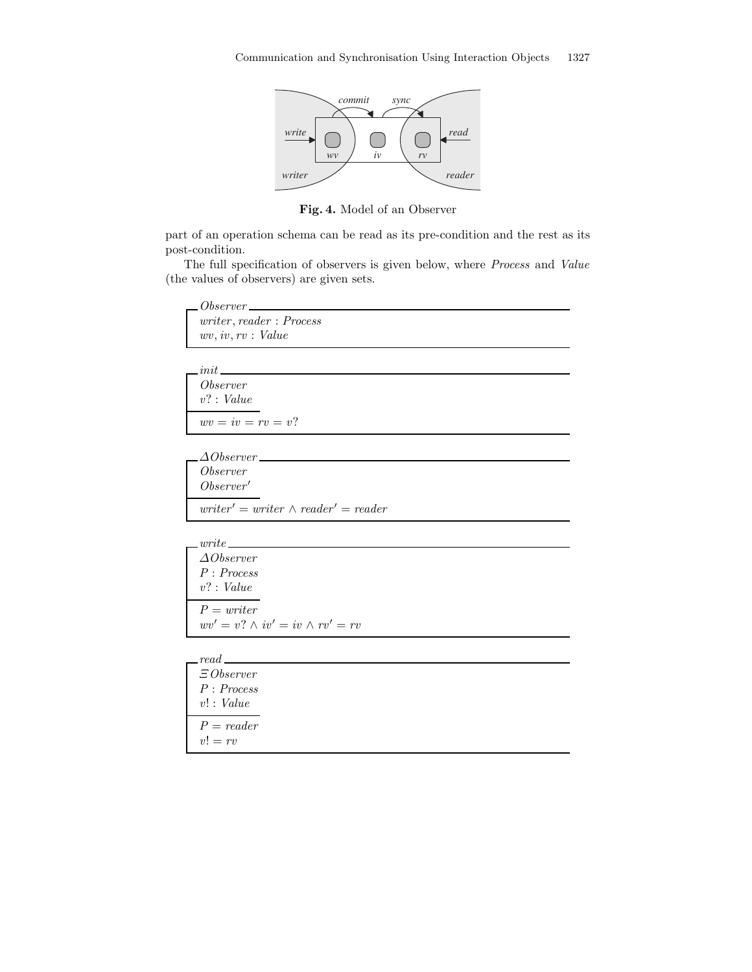

<span id="page-6-0"></span>**Fig. 4.** Model of an Observer

part of an operation schema can be read as its pre-condition and the rest as its post-condition.

The full specification of observers is given below, where *Process* and *Value* (the values of observers) are given sets.

| $\_\$ mathit{Observer}\_\_\_\_\_\             |
|-----------------------------------------------|
| writer, reader: Process                       |
| wv, iv, rv: Value                             |
|                                               |
| $init$ <sub>11</sub>                          |
| <i>Observer</i>                               |
| $v$ ?: Value                                  |
| $wv = iv = rv = v$ ?                          |
|                                               |
| $\triangle Observer$                          |
| <i>Observer</i>                               |
| Observer'                                     |
| $writer' = writer \wedge reader' = reader$    |
| $write \_\_$                                  |
| $\triangle Observer$                          |
| P: Process                                    |
| $v$ ?: Value                                  |
| $P = writer$                                  |
| $wv' = v$ ? $\wedge iv' = iv \wedge rv' = rv$ |
|                                               |
| $_{read}$ $_{\_}$                             |
| $E$ <i>Observer</i>                           |
| P: Process                                    |
| v! : Value                                    |
| $P = reader$                                  |
| $v! = rv$                                     |
|                                               |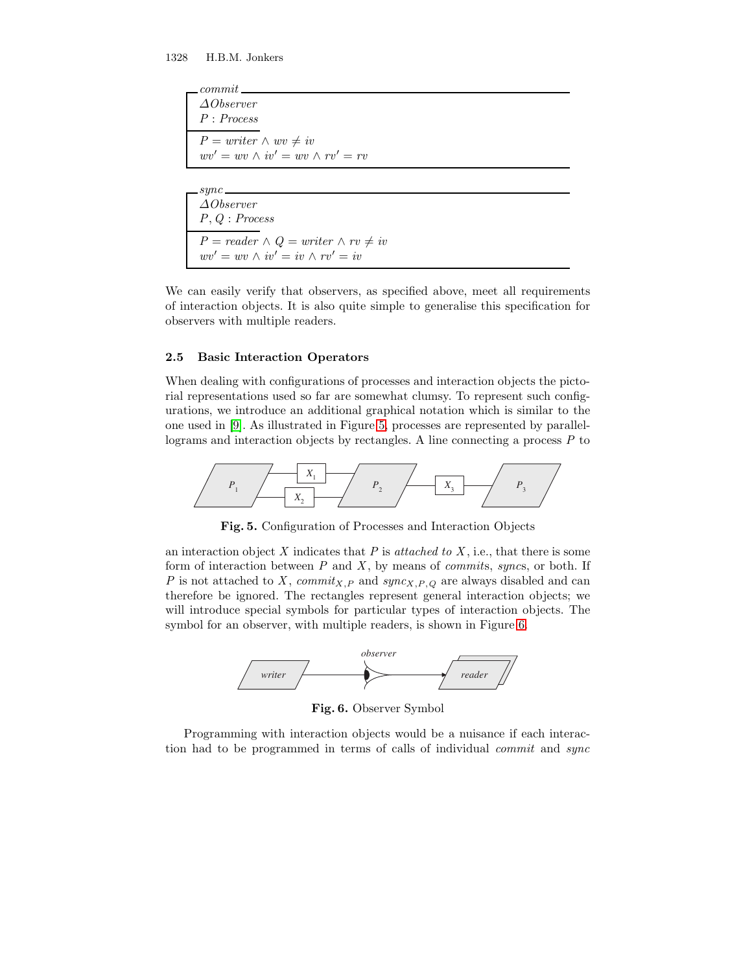*commit* ∆*Observer P* : *Process*  $P = writer \wedge wv \neq iv$  $wv' = wv \wedge iv' = wv \wedge rv' = rv$ 

*sync* ∆*Observer P*, *Q* : *Process*  $P = reader \wedge Q = writer \wedge rv \neq iv$  $wv' = wv \wedge iv' = iv \wedge rv' = iv$ 

We can easily verify that observers, as specified above, meet all requirements of interaction objects. It is also quite simple to generalise this specification for observers with multiple readers.

### <span id="page-7-2"></span>**2.5 Basic Interaction Operators**

When dealing with configurations of processes and interaction objects the pictorial representations used so far are somewhat clumsy. To represent such configurations, we introduce an additional graphical notation which is similar to the one used in [\[9\]](#page-21-7). As illustrated in Figure [5,](#page-7-0) processes are represented by parallellograms and interaction objects by rectangles. A line connecting a process *P* to



**Fig. 5.** Configuration of Processes and Interaction Objects

<span id="page-7-0"></span>an interaction object *X* indicates that *P* is *attached to X* , i.e., that there is some form of interaction between *P* and *X* , by means of *commit*s, *sync*s, or both. If *P* is not attached to *X*, *commit<sub>X</sub>*, *P* and *sync<sub>X</sub>*, *P*, *Q* are always disabled and can therefore be ignored. The rectangles represent general interaction objects; we will introduce special symbols for particular types of interaction objects. The symbol for an observer, with multiple readers, is shown in Figure [6.](#page-7-1)



<span id="page-7-1"></span>**Fig. 6.** Observer Symbol

Programming with interaction objects would be a nuisance if each interaction had to be programmed in terms of calls of individual *commit* and *sync*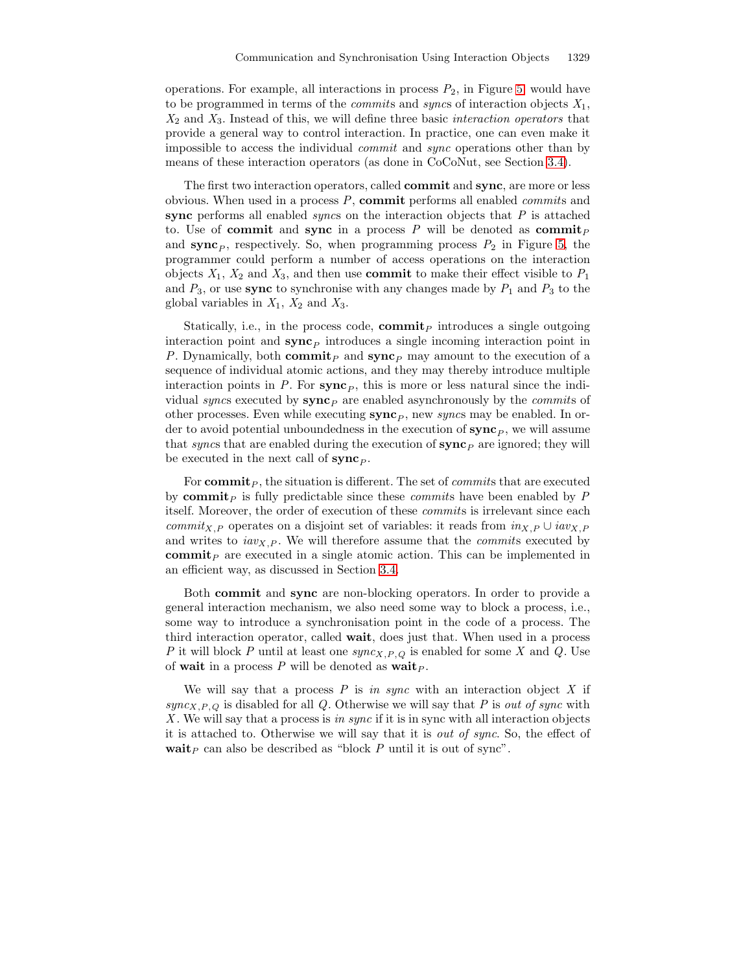operations. For example, all interactions in process *P*2, in Figure [5,](#page-7-0) would have to be programmed in terms of the *commit*s and *sync*s of interaction objects *X*1, *X*<sup>2</sup> and *X*3. Instead of this, we will define three basic *interaction operators* that provide a general way to control interaction. In practice, one can even make it impossible to access the individual *commit* and *sync* operations other than by means of these interaction operators (as done in CoCoNut, see Section [3.4\)](#page-16-0).

The first two interaction operators, called **commit** and **sync**, are more or less obvious. When used in a process *P*, **commit** performs all enabled *commit*s and **sync** performs all enabled *sync*s on the interaction objects that *P* is attached to. Use of **commit** and **sync** in a process  $P$  will be denoted as **commit** $_P$ and  $\textbf{sync}_P$ , respectively. So, when programming process  $P_2$  in Figure [5,](#page-7-0) the programmer could perform a number of access operations on the interaction objects  $X_1$ ,  $X_2$  and  $X_3$ , and then use **commit** to make their effect visible to  $P_1$ and  $P_3$ , or use **sync** to synchronise with any changes made by  $P_1$  and  $P_3$  to the global variables in  $X_1$ ,  $X_2$  and  $X_3$ .

Statically, i.e., in the process code, **commit**<sub>P</sub> introduces a single outgoing interaction point and  $\textbf{sync}_P$  introduces a single incoming interaction point in P. Dynamically, both **commit**<sub>P</sub> and **sync**<sub>P</sub> may amount to the execution of a sequence of individual atomic actions, and they may thereby introduce multiple interaction points in *P*. For  $\textbf{sync}_P$ , this is more or less natural since the individual *syncs* executed by  $\text{sync}_P$  are enabled asynchronously by the *commits* of other processes. Even while executing  $\textbf{sync}_P$ , new *syncs* may be enabled. In order to avoid potential unboundedness in the execution of  $\textbf{sync}_P$ , we will assume that *syncs* that are enabled during the execution of  $\mathbf{sync}_P$  are ignored; they will be executed in the next call of  $\textbf{sync}_P$ .

For **commit**<sub>P</sub>, the situation is different. The set of *commits* that are executed by **commit**<sub>P</sub> is fully predictable since these *commits* have been enabled by  $P$ itself. Moreover, the order of execution of these *commit*s is irrelevant since each *commit<sub>X</sub>*,  $P$  operates on a disjoint set of variables: it reads from  $in_{X,P} \cup in_{Y,P}$ and writes to  $i\omega_{X,P}$ . We will therefore assume that the *commits* executed by **commit**  $\mu$  are executed in a single atomic action. This can be implemented in an efficient way, as discussed in Section [3.4.](#page-16-0)

Both **commit** and **sync** are non-blocking operators. In order to provide a general interaction mechanism, we also need some way to block a process, i.e., some way to introduce a synchronisation point in the code of a process. The third interaction operator, called **wait**, does just that. When used in a process *P* it will block *P* until at least one  $sync_{X, P, Q}$  is enabled for some *X* and *Q*. Use of **wait** in a process  $P$  will be denoted as **wait** $_P$ .

We will say that a process *P* is *in sync* with an interaction object *X* if  $sync_{X,P,Q}$  is disabled for all *Q*. Otherwise we will say that *P* is *out of sync* with *X* . We will say that a process is *in sync* if it is in sync with all interaction objects it is attached to. Otherwise we will say that it is *out of sync*. So, the effect of wait<sub>P</sub> can also be described as "block  $P$  until it is out of sync".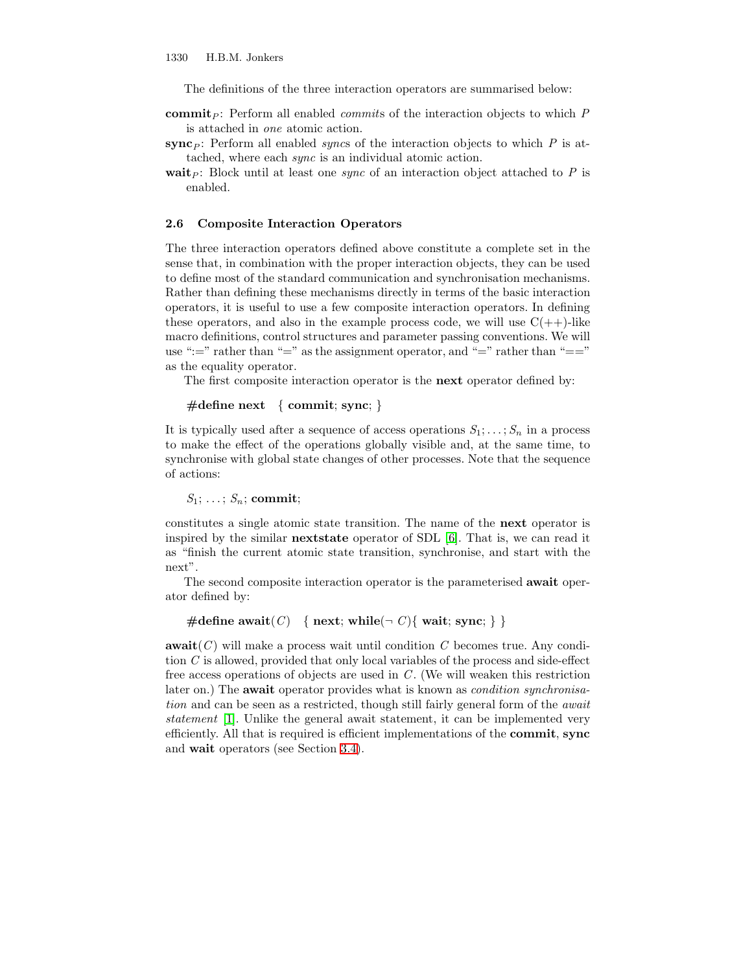The definitions of the three interaction operators are summarised below:

- **commit**<sub>P</sub>: Perform all enabled *commits* of the interaction objects to which *P* is attached in *one* atomic action.
- **sync**<sub>p</sub>: Perform all enabled *syncs* of the interaction objects to which *P* is attached, where each *sync* is an individual atomic action.
- **wait**<sub>P</sub>: Block until at least one *sync* of an interaction object attached to P is enabled.

## <span id="page-9-0"></span>**2.6 Composite Interaction Operators**

The three interaction operators defined above constitute a complete set in the sense that, in combination with the proper interaction objects, they can be used to define most of the standard communication and synchronisation mechanisms. Rather than defining these mechanisms directly in terms of the basic interaction operators, it is useful to use a few composite interaction operators. In defining these operators, and also in the example process code, we will use  $C(++)$ -like macro definitions, control structures and parameter passing conventions. We will use ":=" rather than "=" as the assignment operator, and "=" rather than "==" as the equality operator.

The first composite interaction operator is the **next** operator defined by:

### **#define next** { **commit**; **sync**; }

It is typically used after a sequence of access operations  $S_1; \ldots; S_n$  in a process to make the effect of the operations globally visible and, at the same time, to synchronise with global state changes of other processes. Note that the sequence of actions:

 $S_1$ ; ...;  $S_n$ ; **commit**;

constitutes a single atomic state transition. The name of the **next** operator is inspired by the similar **nextstate** operator of SDL [\[6\]](#page-21-8). That is, we can read it as "finish the current atomic state transition, synchronise, and start with the next".

The second composite interaction operator is the parameterised **await** operator defined by:

# $\#$ define await $(C) \{$  next; while $(\neg C)$  $\{$  wait; sync;  $\}$  }

**await**( $C$ ) will make a process wait until condition  $C$  becomes true. Any condition *C* is allowed, provided that only local variables of the process and side-effect free access operations of objects are used in *C*. (We will weaken this restriction later on.) The **await** operator provides what is known as *condition synchronisation* and can be seen as a restricted, though still fairly general form of the *await statement* [\[1\]](#page-21-0). Unlike the general await statement, it can be implemented very efficiently. All that is required is efficient implementations of the **commit**, **sync** and **wait** operators (see Section [3.4\)](#page-16-0).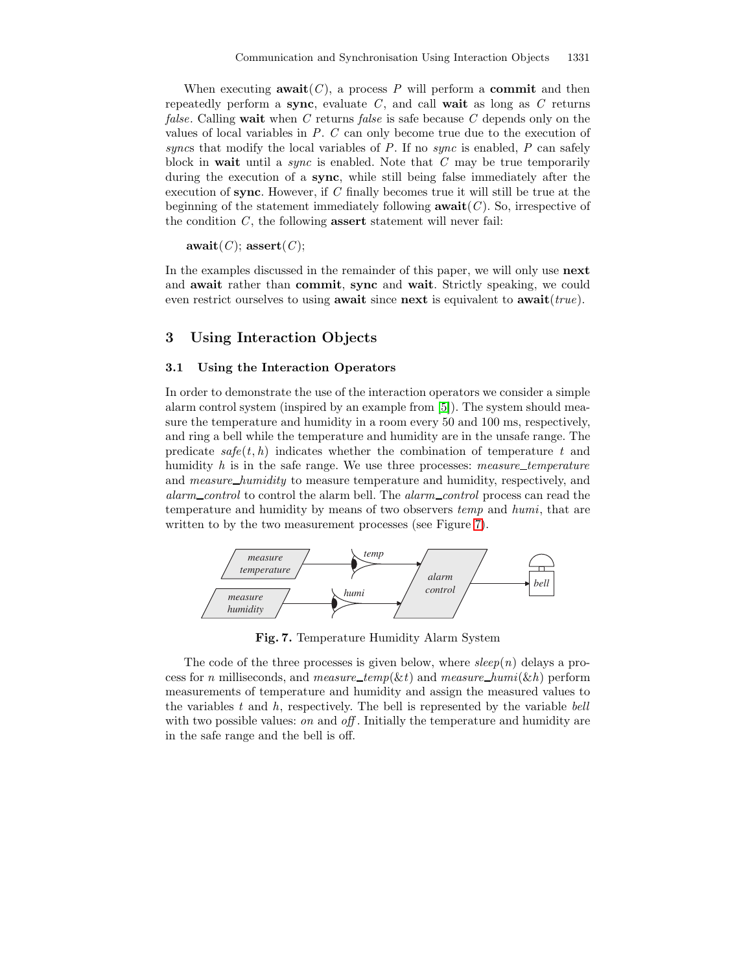When executing **await** $(C)$ , a process P will perform a **commit** and then repeatedly perform a **sync**, evaluate *C*, and call **wait** as long as *C* returns *false*. Calling **wait** when *C* returns *false* is safe because *C* depends only on the values of local variables in *P*. *C* can only become true due to the execution of *sync*s that modify the local variables of *P*. If no *sync* is enabled, *P* can safely block in **wait** until a *sync* is enabled. Note that *C* may be true temporarily during the execution of a **sync**, while still being false immediately after the execution of **sync**. However, if *C* finally becomes true it will still be true at the beginning of the statement immediately following **await**(*C*). So, irrespective of the condition *C*, the following **assert** statement will never fail:

 $a$ **wait** $(C)$ ; **assert** $(C)$ ;

In the examples discussed in the remainder of this paper, we will only use **next** and **await** rather than **commit**, **sync** and **wait**. Strictly speaking, we could even restrict ourselves to using **await** since **next** is equivalent to **await**(*true*).

## <span id="page-10-0"></span>**3 Using Interaction Objects**

#### <span id="page-10-2"></span>**3.1 Using the Interaction Operators**

In order to demonstrate the use of the interaction operators we consider a simple alarm control system (inspired by an example from [\[5\]](#page-21-9)). The system should measure the temperature and humidity in a room every 50 and 100 ms, respectively, and ring a bell while the temperature and humidity are in the unsafe range. The predicate  $\text{safe}(t, h)$  indicates whether the combination of temperature  $t$  and humidity *h* is in the safe range. We use three processes: *measure temperature* and *measure humidity* to measure temperature and humidity, respectively, and *alarm control* to control the alarm bell. The *alarm control* process can read the temperature and humidity by means of two observers *temp* and *humi*, that are written to by the two measurement processes (see Figure [7\)](#page-10-1).



**Fig. 7.** Temperature Humidity Alarm System

<span id="page-10-1"></span>The code of the three processes is given below, where  $sleep(n)$  delays a process for *n* milliseconds, and *measure\_temp*( $\&t$ ) and *measure\_humi*( $\&h$ ) perform measurements of temperature and humidity and assign the measured values to the variables *t* and *h*, respectively. The bell is represented by the variable *bell* with two possible values: *on* and *off*. Initially the temperature and humidity are in the safe range and the bell is off.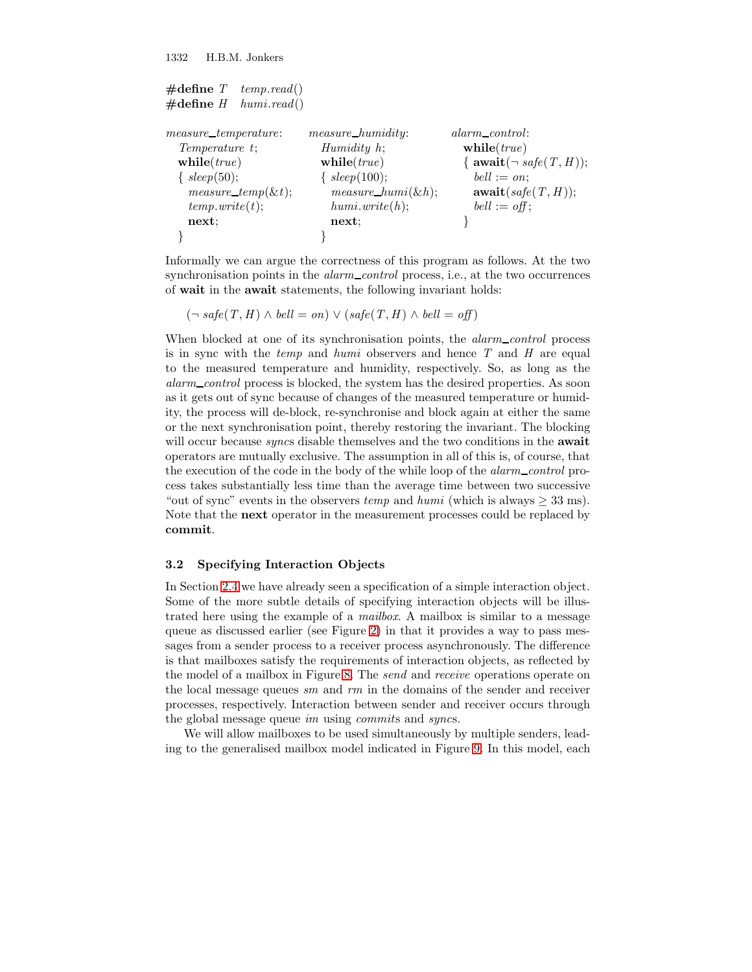| $\#$ define T temp.read() |                          |                                                  |
|---------------------------|--------------------------|--------------------------------------------------|
| $\#$ define H humi.read() |                          |                                                  |
| measure_temperature:      | measure_humidity:        | $alarm\_control$ :                               |
| Temperature t;            | $H$ umidity $h$ ;        | while( $true$ )                                  |
| while( $true$ )           | while( $true$ )          | { $\mathbf{await}(\neg \, \mathit{safe}(T, H));$ |
| $\{\ \text{sleep}(50);$   | $\{\ \text{sleep}(100);$ | $bell := on;$                                    |
| $measure\_temp(\& t);$    | $measure\_humi(kh);$     | $\mathbf{await}(safe(T, H));$                    |
| temp.write(t);            | humi.write(h);           | $bell := off;$                                   |
| next:                     | next;                    |                                                  |
|                           |                          |                                                  |

Informally we can argue the correctness of this program as follows. At the two synchronisation points in the *alarm\_control* process, i.e., at the two occurrences of **wait** in the **await** statements, the following invariant holds:

$$
(\neg \; safe(T, H) \land bell = on) \lor (safe(T, H) \land bell = off)
$$

When blocked at one of its synchronisation points, the *alarm\_control* process is in sync with the *temp* and *humi* observers and hence *T* and *H* are equal to the measured temperature and humidity, respectively. So, as long as the *alarm control* process is blocked, the system has the desired properties. As soon as it gets out of sync because of changes of the measured temperature or humidity, the process will de-block, re-synchronise and block again at either the same or the next synchronisation point, thereby restoring the invariant. The blocking will occur because *sync*s disable themselves and the two conditions in the **await** operators are mutually exclusive. The assumption in all of this is, of course, that the execution of the code in the body of the while loop of the *alarm control* process takes substantially less time than the average time between two successive "out of sync" events in the observers *temp* and *humi* (which is always ≥ 33 ms). Note that the **next** operator in the measurement processes could be replaced by **commit**.

#### <span id="page-11-0"></span>**3.2 Specifying Interaction Objects**

In Section [2.4](#page-5-0) we have already seen a specification of a simple interaction object. Some of the more subtle details of specifying interaction objects will be illustrated here using the example of a *mailbox*. A mailbox is similar to a message queue as discussed earlier (see Figure [2\)](#page-2-1) in that it provides a way to pass messages from a sender process to a receiver process asynchronously. The difference is that mailboxes satisfy the requirements of interaction objects, as reflected by the model of a mailbox in Figure [8.](#page-12-0) The *send* and *receive* operations operate on the local message queues *sm* and *rm* in the domains of the sender and receiver processes, respectively. Interaction between sender and receiver occurs through the global message queue *im* using *commit*s and *sync*s.

We will allow mailboxes to be used simultaneously by multiple senders, leading to the generalised mailbox model indicated in Figure [9.](#page-12-1) In this model, each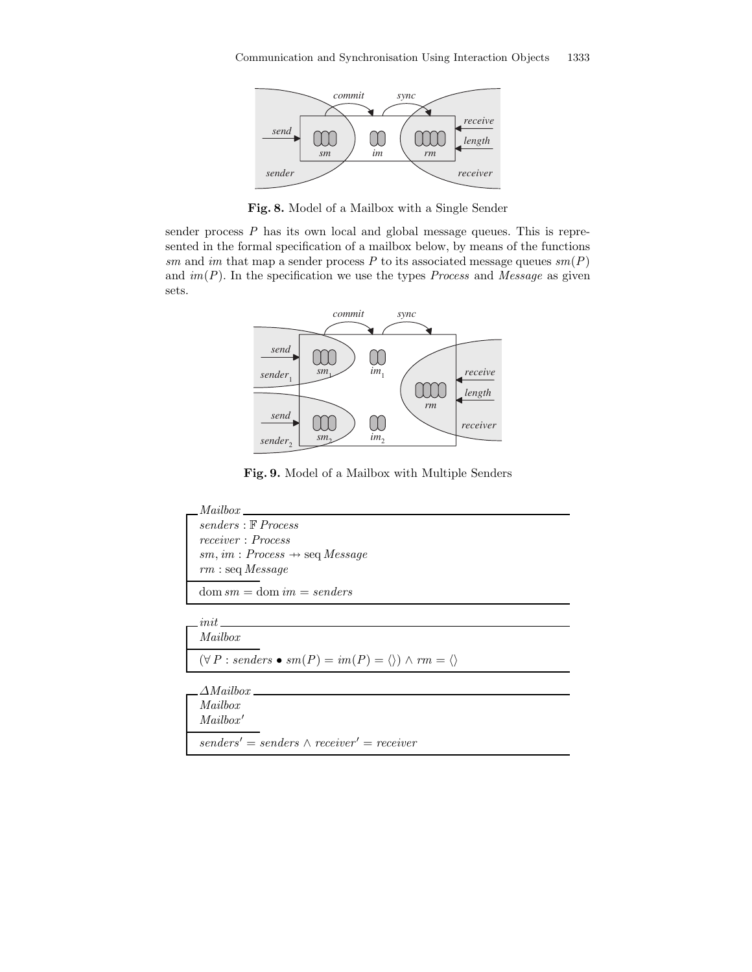

**Fig. 8.** Model of a Mailbox with a Single Sender

<span id="page-12-0"></span>sender process *P* has its own local and global message queues. This is represented in the formal specification of a mailbox below, by means of the functions *sm* and *im* that map a sender process *P* to its associated message queues  $sm(P)$ and  $im(P)$ . In the specification we use the types *Process* and *Message* as given sets.



**Fig. 9.** Model of a Mailbox with Multiple Senders

<span id="page-12-1"></span>*Mailbox senders* : <sup>F</sup> *Process receiver* : *Process*  $sm, im: Process \rightarrow seq \, Message$ *rm* : seq *Message* dom *sm* = dom *im* = *senders*

*init*

*Mailbox*

 $(\forall P : senders \bullet sm(P) = im(P) = \langle \rangle) \land rm = \langle \rangle$ 

∆*Mailbox*

*Mailbox*  $Mailbox'$ 

 $\textit{senders}' = \textit{senders} \land \textit{receiver}' = \textit{receiver}$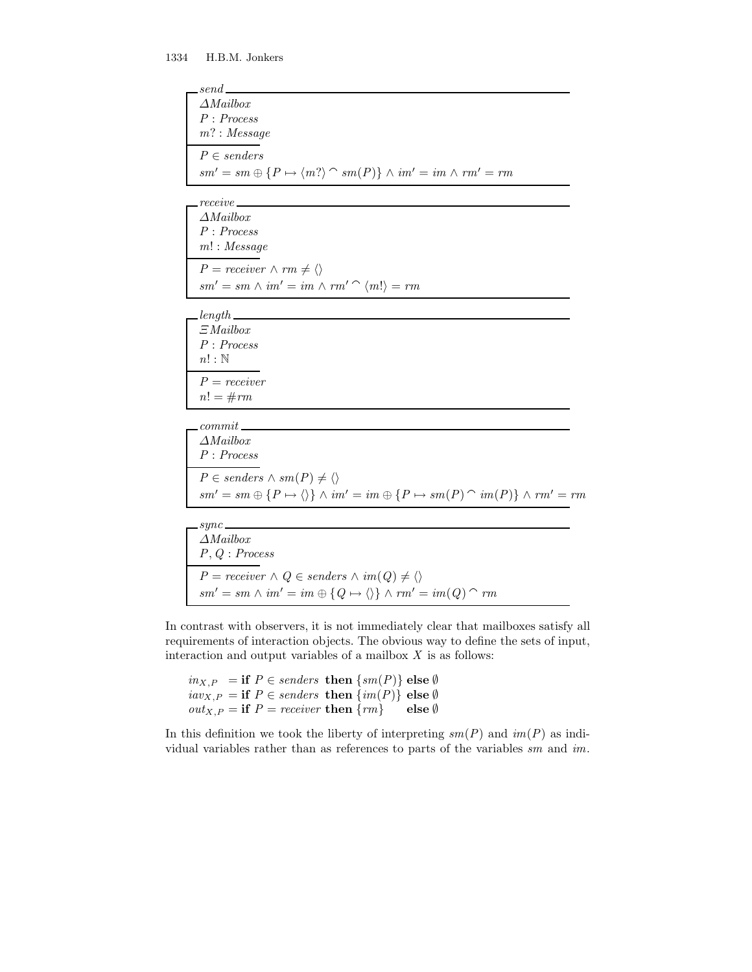*send* ∆*Mailbox P* : *Process m*? : *Message P* ∈ *senders*  $sm' = sm \oplus \{P \mapsto \langle m? \rangle \cap sm(P)\} \wedge im' = im \wedge rm' = rm$ *receive* ∆*Mailbox P* : *Process m*! : *Message*  $P = receiver \wedge rm \neq \langle \rangle$  $sm' = sm \wedge im' = im \wedge rm' \cap \langle m! \rangle = rm$ *length* Ξ*Mailbox P* : *Process*  $n!$ : N *P* = *receiver*  $n! = \text{\#rm}$ *commit* ∆*Mailbox P* : *Process*  $P \in senders \land sm(P) \neq \langle \rangle$  $sm' = sm \oplus \{P \mapsto \langle \rangle\} \wedge im' = im \oplus \{P \mapsto sm(P) \cap im(P)\} \wedge rm' = rm$ *sync* ∆*Mailbox P*, *Q* : *Process P* = *receiver* ∧  $Q \in senders \land im(Q) \neq \langle \rangle$  $sm' = sm \wedge im' = im \oplus \{Q \mapsto \langle \rangle\} \wedge rm' = im(Q) \cap rm$ 

In contrast with observers, it is not immediately clear that mailboxes satisfy all requirements of interaction objects. The obvious way to define the sets of input, interaction and output variables of a mailbox *X* is as follows:

```
in_{X,P} = if P \in senders then \{sm(P)\}\neq \emptysetiav_{X,P} = if P \in senders then \{im(P)\} else Ø
out_{X,P} = if P = receiver then {rm} else Ø
```
In this definition we took the liberty of interpreting  $sm(P)$  and  $im(P)$  as individual variables rather than as references to parts of the variables *sm* and *im*.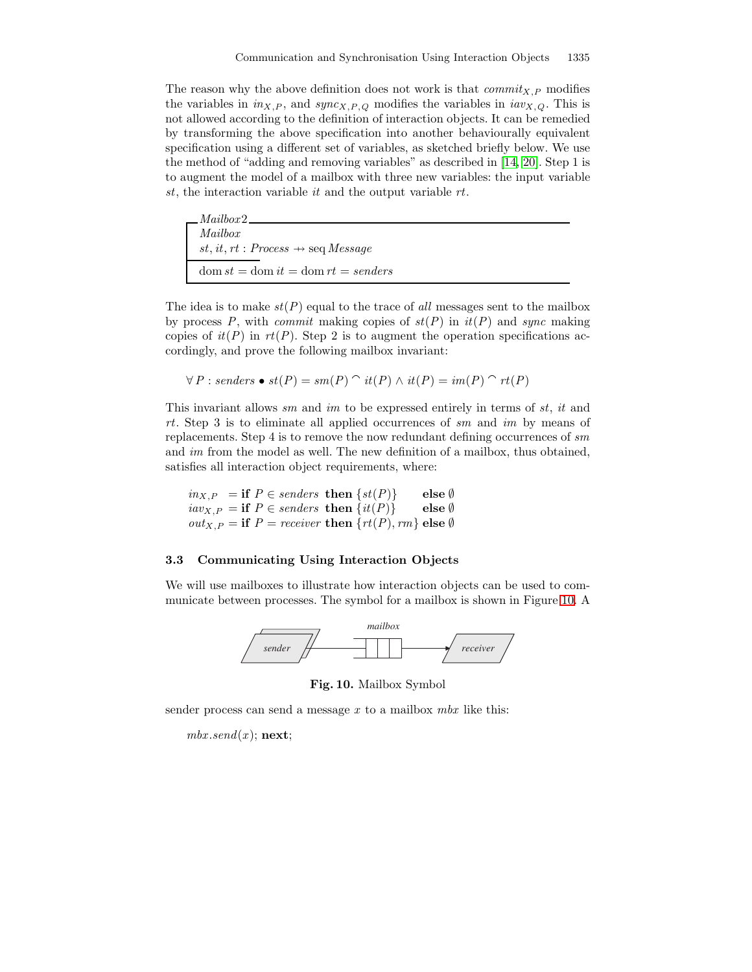The reason why the above definition does not work is that  $commit_{X,P}$  modifies the variables in  $in_{X,P}$ , and  $sync_{X,P,Q}$  modifies the variables in  $iav_{X,Q}$ . This is not allowed according to the definition of interaction objects. It can be remedied by transforming the above specification into another behaviourally equivalent specification using a different set of variables, as sketched briefly below. We use the method of "adding and removing variables" as described in [\[14,](#page-21-10) [20\]](#page-21-11). Step 1 is to augment the model of a mailbox with three new variables: the input variable *st*, the interaction variable *it* and the output variable *rt*.

*Mailbox* 2 *Mailbox*  $st, it, rt: Process \rightarrow seqMessage$  $dom st = dom it = dom rt = senders$ 

The idea is to make  $st(P)$  equal to the trace of *all* messages sent to the mailbox by process *P*, with *commit* making copies of  $st(P)$  in  $it(P)$  and *sync* making copies of  $it(P)$  in  $rt(P)$ . Step 2 is to augment the operation specifications accordingly, and prove the following mailbox invariant:

 $∀P : senders \bullet st(P) = sm(P) \cap it(P) \land it(P) = im(P) \cap rt(P)$ 

This invariant allows *sm* and *im* to be expressed entirely in terms of *st*, *it* and *rt*. Step 3 is to eliminate all applied occurrences of *sm* and *im* by means of replacements. Step 4 is to remove the now redundant defining occurrences of *sm* and *im* from the model as well. The new definition of a mailbox, thus obtained, satisfies all interaction object requirements, where:

 $in_{X,P}$  = **if**  $P \in senders$  **then**  $\{st(P)\}$  **else** Ø  $iav_{X,P}$  = **if**  $P \in senders$  **then**  $\{it(P)\}$  **else** Ø  $out_{X,P}$  = **if**  $P$  = *receiver* **then**  $\{rt(P), rm\}$  **else** Ø

### **3.3 Communicating Using Interaction Objects**

We will use mailboxes to illustrate how interaction objects can be used to communicate between processes. The symbol for a mailbox is shown in Figure [10.](#page-14-0) A



<span id="page-14-0"></span>**Fig. 10.** Mailbox Symbol

sender process can send a message *x* to a mailbox *mbx* like this:

 $mbx$ *.send* $(x)$ *;* **next***;*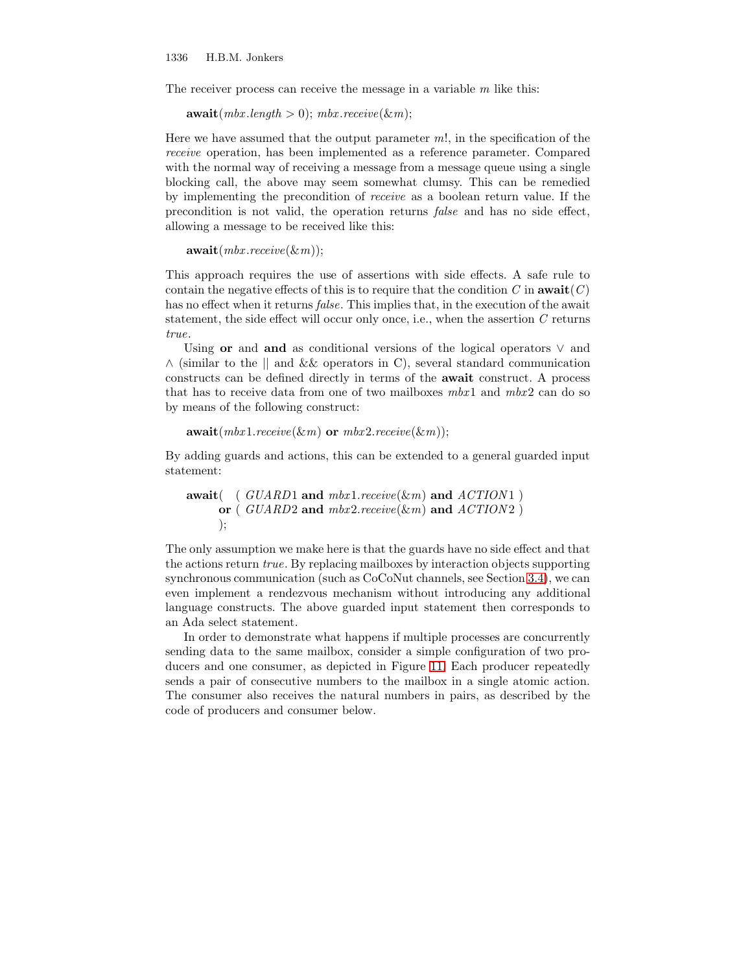The receiver process can receive the message in a variable *m* like this:

```
await(mbx.length > 0); mbx.receive(\& m);
```
Here we have assumed that the output parameter *m*!, in the specification of the *receive* operation, has been implemented as a reference parameter. Compared with the normal way of receiving a message from a message queue using a single blocking call, the above may seem somewhat clumsy. This can be remedied by implementing the precondition of *receive* as a boolean return value. If the precondition is not valid, the operation returns *false* and has no side effect, allowing a message to be received like this:

**await**(*mbx* .*receive*(&*m*));

This approach requires the use of assertions with side effects. A safe rule to contain the negative effects of this is to require that the condition  $C$  in **await**  $(C)$ has no effect when it returns *false*. This implies that, in the execution of the await statement, the side effect will occur only once, i.e., when the assertion *C* returns *true*.

Using **or** and **and** as conditional versions of the logical operators ∨ and ∧ (similar to the || and && operators in C), several standard communication constructs can be defined directly in terms of the **await** construct. A process that has to receive data from one of two mailboxes *mbx* 1 and *mbx* 2 can do so by means of the following construct:

```
await(mbx1.receive(\&m) or mbx2.receive(\&m));
```
By adding guards and actions, this can be extended to a general guarded input statement:

```
await( ( GUARD1 and mbx 1.receive(&m) and ACTION 1 )
     or ( GUARD2 and mbx 2.receive(&m) and ACTION 2 )
     );
```
The only assumption we make here is that the guards have no side effect and that the actions return *true*. By replacing mailboxes by interaction objects supporting synchronous communication (such as CoCoNut channels, see Section [3.4\)](#page-16-0), we can even implement a rendezvous mechanism without introducing any additional language constructs. The above guarded input statement then corresponds to an Ada select statement.

In order to demonstrate what happens if multiple processes are concurrently sending data to the same mailbox, consider a simple configuration of two producers and one consumer, as depicted in Figure [11.](#page-16-1) Each producer repeatedly sends a pair of consecutive numbers to the mailbox in a single atomic action. The consumer also receives the natural numbers in pairs, as described by the code of producers and consumer below.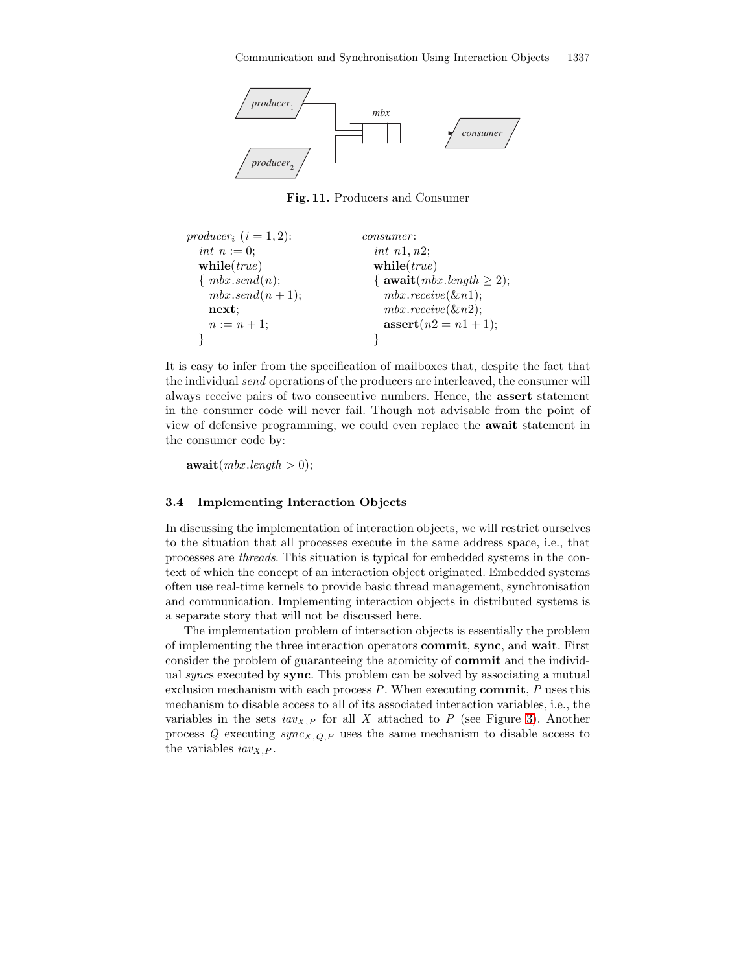

<span id="page-16-1"></span>**Fig. 11.** Producers and Consumer

```
\text{produce}_i \ (i=1,2): \text{consumer:}int n := 0; int n1, n2;
 while(true) while(true)
 { mbx.\text{send}(n); { \text{await}(mbx.\text{length} \geq 2);mbx \text{.send}(n+1); mbx \text{.receive}(\& n1);next; mbx .receive(&n2);
   n := n + 1; assert(n2 = n1 + 1);} }
```
It is easy to infer from the specification of mailboxes that, despite the fact that the individual *send* operations of the producers are interleaved, the consumer will always receive pairs of two consecutive numbers. Hence, the **assert** statement in the consumer code will never fail. Though not advisable from the point of view of defensive programming, we could even replace the **await** statement in the consumer code by:

 $a$ **wait** $(mbx.length > 0);$ 

#### <span id="page-16-0"></span>**3.4 Implementing Interaction Objects**

In discussing the implementation of interaction objects, we will restrict ourselves to the situation that all processes execute in the same address space, i.e., that processes are *threads*. This situation is typical for embedded systems in the context of which the concept of an interaction object originated. Embedded systems often use real-time kernels to provide basic thread management, synchronisation and communication. Implementing interaction objects in distributed systems is a separate story that will not be discussed here.

The implementation problem of interaction objects is essentially the problem of implementing the three interaction operators **commit**, **sync**, and **wait**. First consider the problem of guaranteeing the atomicity of **commit** and the individual *sync*s executed by **sync**. This problem can be solved by associating a mutual exclusion mechanism with each process *P*. When executing **commit**, *P* uses this mechanism to disable access to all of its associated interaction variables, i.e., the variables in the sets  $i\omega_{X,P}$  for all X attached to P (see Figure [3\)](#page-4-0). Another process  $Q$  executing  $sync_{X, Q, P}$  uses the same mechanism to disable access to the variables  $iav_{X,P}$ .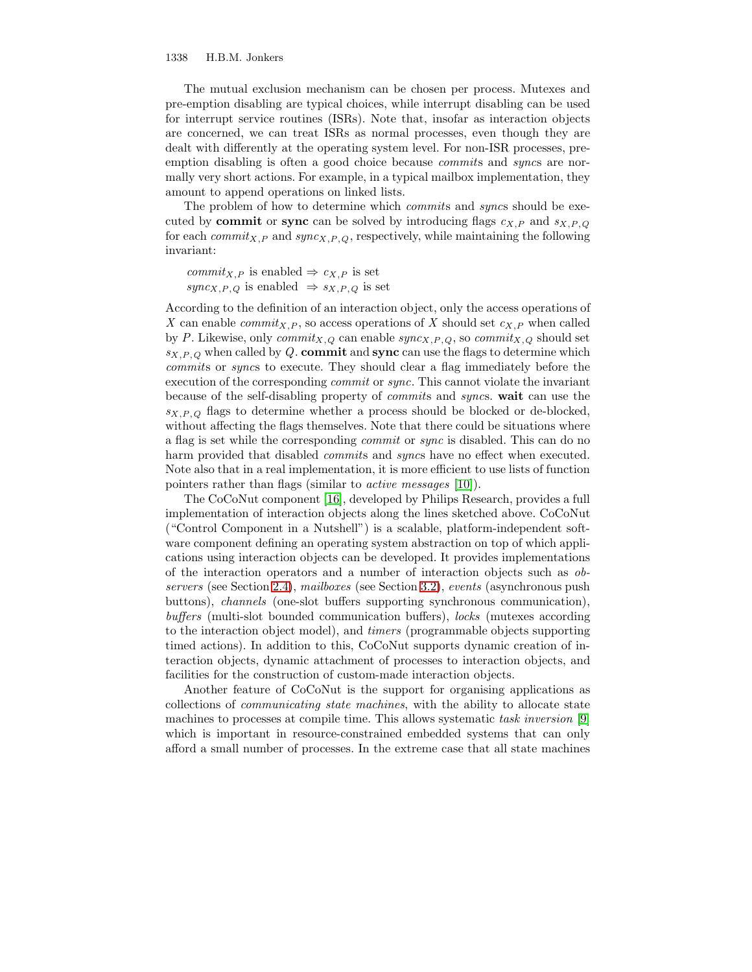The mutual exclusion mechanism can be chosen per process. Mutexes and pre-emption disabling are typical choices, while interrupt disabling can be used for interrupt service routines (ISRs). Note that, insofar as interaction objects are concerned, we can treat ISRs as normal processes, even though they are dealt with differently at the operating system level. For non-ISR processes, preemption disabling is often a good choice because *commit*s and *sync*s are normally very short actions. For example, in a typical mailbox implementation, they amount to append operations on linked lists.

The problem of how to determine which *commit*s and *sync*s should be executed by **commit** or **sync** can be solved by introducing flags  $c_{X,P}$  and  $s_{X,P,Q}$ for each *commit<sub>X</sub>*,  $P$  and  $\text{sync}_{X,P,Q}$ , respectively, while maintaining the following invariant:

*commit<sub>X</sub>*,  $\overline{P}$  is enabled  $\Rightarrow$   $c_{X,P}$  is set  $sync_{X,P,Q}$  is enabled  $\Rightarrow$  *s*<sub>X</sub>, *P*, *Q* is set

According to the definition of an interaction object, only the access operations of X can enable *commit<sub>X</sub>*,  $P$ , so access operations of X should set  $c_{X,P}$  when called by *P*. Likewise, only  $commit_{X,Q}$  can enable  $sync_{X,P,Q}$ , so  $commit_{X,Q}$  should set  $s_{X,P,Q}$  when called by  $Q$ . **commit** and **sync** can use the flags to determine which *commit*s or *sync*s to execute. They should clear a flag immediately before the execution of the corresponding *commit* or *sync*. This cannot violate the invariant because of the self-disabling property of *commit*s and *sync*s. **wait** can use the  $s_{X,P,Q}$  flags to determine whether a process should be blocked or de-blocked, without affecting the flags themselves. Note that there could be situations where a flag is set while the corresponding *commit* or *sync* is disabled. This can do no harm provided that disabled *commit*s and *sync*s have no effect when executed. Note also that in a real implementation, it is more efficient to use lists of function pointers rather than flags (similar to *active messages* [\[10\]](#page-21-12)).

The CoCoNut component [\[16\]](#page-21-3), developed by Philips Research, provides a full implementation of interaction objects along the lines sketched above. CoCoNut ("Control Component in a Nutshell") is a scalable, platform-independent software component defining an operating system abstraction on top of which applications using interaction objects can be developed. It provides implementations of the interaction operators and a number of interaction objects such as *observers* (see Section [2.4\)](#page-5-0), *mailboxes* (see Section [3.2\)](#page-11-0), *events* (asynchronous push buttons), *channels* (one-slot buffers supporting synchronous communication), *buffers* (multi-slot bounded communication buffers), *locks* (mutexes according to the interaction object model), and *timers* (programmable objects supporting timed actions). In addition to this, CoCoNut supports dynamic creation of interaction objects, dynamic attachment of processes to interaction objects, and facilities for the construction of custom-made interaction objects.

Another feature of CoCoNut is the support for organising applications as collections of *communicating state machines*, with the ability to allocate state machines to processes at compile time. This allows systematic *task inversion* [\[9\]](#page-21-7) which is important in resource-constrained embedded systems that can only afford a small number of processes. In the extreme case that all state machines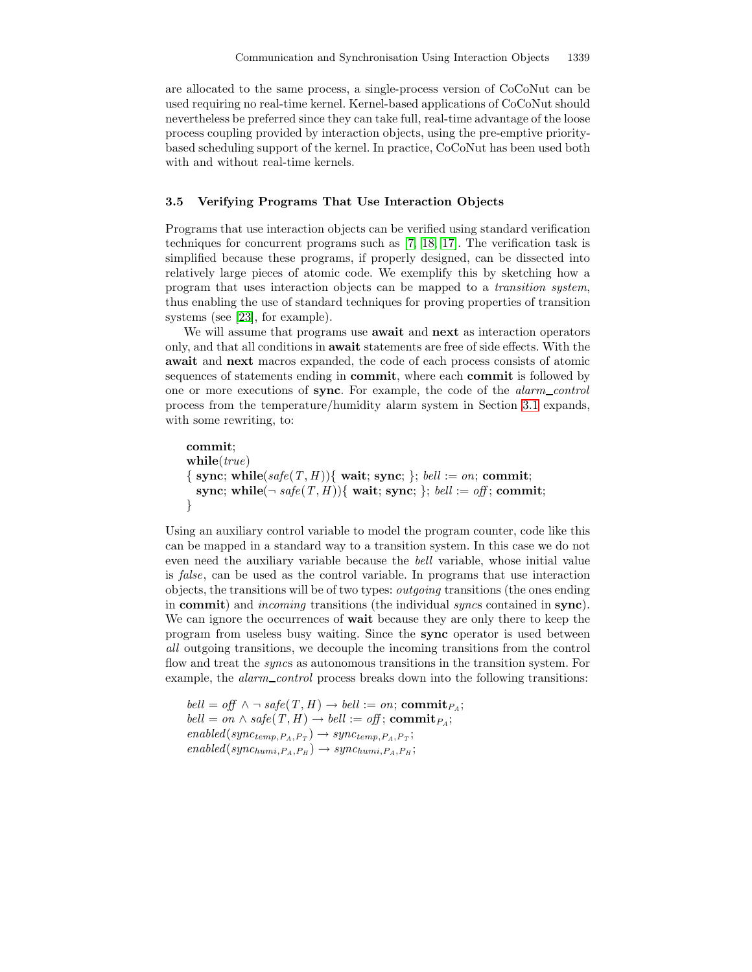are allocated to the same process, a single-process version of CoCoNut can be used requiring no real-time kernel. Kernel-based applications of CoCoNut should nevertheless be preferred since they can take full, real-time advantage of the loose process coupling provided by interaction objects, using the pre-emptive prioritybased scheduling support of the kernel. In practice, CoCoNut has been used both with and without real-time kernels.

### <span id="page-18-0"></span>**3.5 Verifying Programs That Use Interaction Objects**

Programs that use interaction objects can be verified using standard verification techniques for concurrent programs such as [\[7,](#page-21-13) [18,](#page-21-14) [17\]](#page-21-15). The verification task is simplified because these programs, if properly designed, can be dissected into relatively large pieces of atomic code. We exemplify this by sketching how a program that uses interaction objects can be mapped to a *transition system*, thus enabling the use of standard techniques for proving properties of transition systems (see [\[23\]](#page-21-16), for example).

We will assume that programs use **await** and **next** as interaction operators only, and that all conditions in **await** statements are free of side effects. With the **await** and **next** macros expanded, the code of each process consists of atomic sequences of statements ending in **commit**, where each **commit** is followed by one or more executions of **sync**. For example, the code of the *alarm control* process from the temperature/humidity alarm system in Section [3.1](#page-10-2) expands, with some rewriting, to:

```
commit;
while(true)
{\textbf{sync}; \textbf{ while}(safe(T, H)){\textbf{ wait}; \textbf{ sync};}; bell := on; \textbf{ commit};sync; while(\neg \; safe(T, H)){ wait; sync; }; bell := off; commit;
}
```
Using an auxiliary control variable to model the program counter, code like this can be mapped in a standard way to a transition system. In this case we do not even need the auxiliary variable because the *bell* variable, whose initial value is *false*, can be used as the control variable. In programs that use interaction objects, the transitions will be of two types: *outgoing* transitions (the ones ending in **commit**) and *incoming* transitions (the individual *sync*s contained in **sync**). We can ignore the occurrences of **wait** because they are only there to keep the program from useless busy waiting. Since the **sync** operator is used between *all* outgoing transitions, we decouple the incoming transitions from the control flow and treat the *sync*s as autonomous transitions in the transition system. For example, the *alarm\_control* process breaks down into the following transitions:

```
bell = off \land \neg \; safe(T, H) \rightarrow bell := on; \; commit_{P_A};bell = on \land safe(T, H) \rightarrow bell := off; commit<sub>PA</sub>;
enabeled(sync_{temp,P_A,P_T}) \rightarrow sync_{temp,P_A,P_T};enabeled(sync_{humi, P_A, P_H}) \rightarrow sync_{humi, P_A, P_H};
```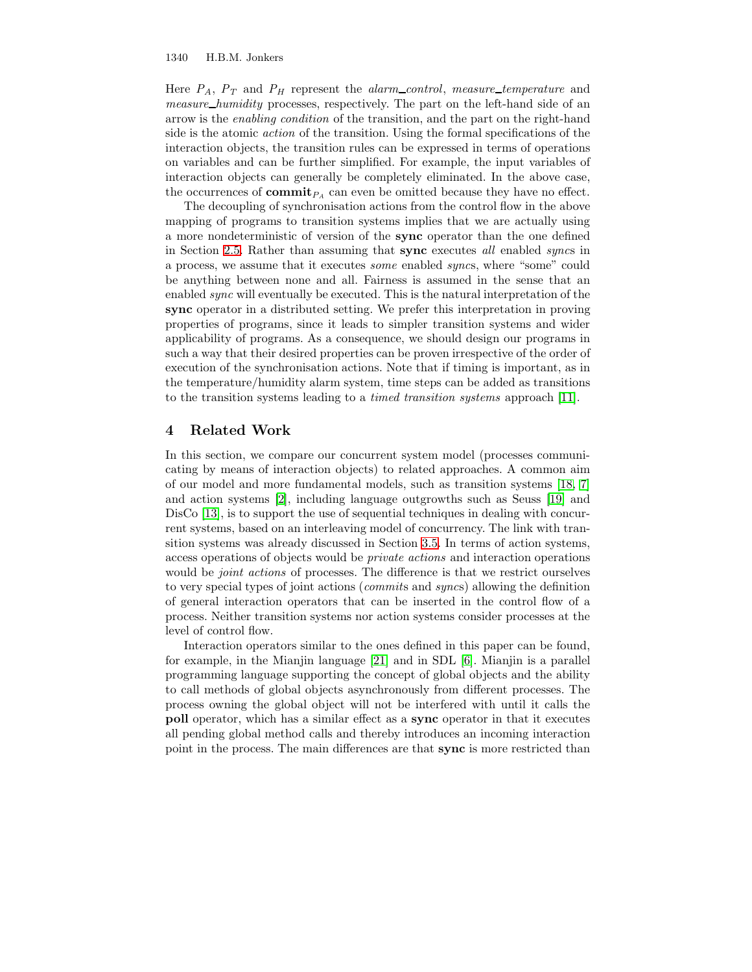Here  $P_A$ ,  $P_T$  and  $P_H$  represent the *alarm\_control*, *measure\_temperature* and *measure humidity* processes, respectively. The part on the left-hand side of an arrow is the *enabling condition* of the transition, and the part on the right-hand side is the atomic *action* of the transition. Using the formal specifications of the interaction objects, the transition rules can be expressed in terms of operations on variables and can be further simplified. For example, the input variables of interaction objects can generally be completely eliminated. In the above case, the occurrences of **commit**<sub> $P_A$ </sub> can even be omitted because they have no effect.

The decoupling of synchronisation actions from the control flow in the above mapping of programs to transition systems implies that we are actually using a more nondeterministic of version of the **sync** operator than the one defined in Section [2.5.](#page-7-2) Rather than assuming that **sync** executes *all* enabled *sync*s in a process, we assume that it executes *some* enabled *sync*s, where "some" could be anything between none and all. Fairness is assumed in the sense that an enabled *sync* will eventually be executed. This is the natural interpretation of the **sync** operator in a distributed setting. We prefer this interpretation in proving properties of programs, since it leads to simpler transition systems and wider applicability of programs. As a consequence, we should design our programs in such a way that their desired properties can be proven irrespective of the order of execution of the synchronisation actions. Note that if timing is important, as in the temperature/humidity alarm system, time steps can be added as transitions to the transition systems leading to a *timed transition systems* approach [\[11\]](#page-21-17).

### <span id="page-19-0"></span>**4 Related Work**

In this section, we compare our concurrent system model (processes communicating by means of interaction objects) to related approaches. A common aim of our model and more fundamental models, such as transition systems [\[18,](#page-21-14) [7\]](#page-21-13) and action systems [\[2\]](#page-21-18), including language outgrowths such as Seuss [\[19\]](#page-21-19) and DisCo [\[13\]](#page-21-20), is to support the use of sequential techniques in dealing with concurrent systems, based on an interleaving model of concurrency. The link with transition systems was already discussed in Section [3.5.](#page-18-0) In terms of action systems, access operations of objects would be *private actions* and interaction operations would be *joint actions* of processes. The difference is that we restrict ourselves to very special types of joint actions (*commit*s and *sync*s) allowing the definition of general interaction operators that can be inserted in the control flow of a process. Neither transition systems nor action systems consider processes at the level of control flow.

Interaction operators similar to the ones defined in this paper can be found, for example, in the Mianjin language [\[21\]](#page-21-21) and in SDL [\[6\]](#page-21-8). Mianjin is a parallel programming language supporting the concept of global objects and the ability to call methods of global objects asynchronously from different processes. The process owning the global object will not be interfered with until it calls the **poll** operator, which has a similar effect as a **sync** operator in that it executes all pending global method calls and thereby introduces an incoming interaction point in the process. The main differences are that **sync** is more restricted than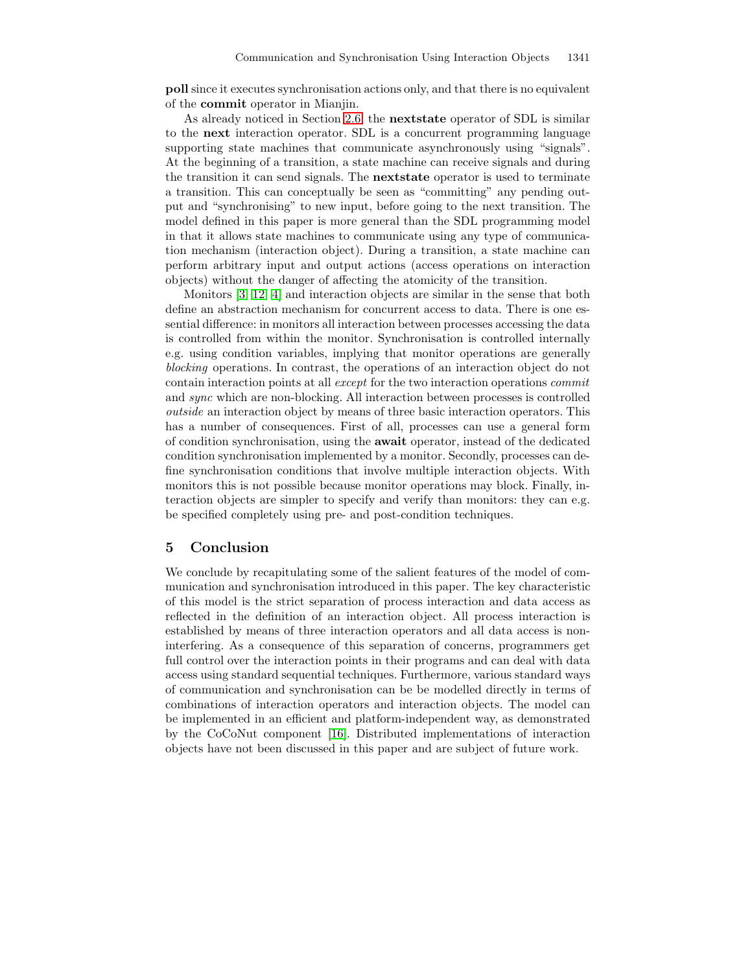**poll** since it executes synchronisation actions only, and that there is no equivalent of the **commit** operator in Mianjin.

As already noticed in Section [2.6,](#page-9-0) the **nextstate** operator of SDL is similar to the **next** interaction operator. SDL is a concurrent programming language supporting state machines that communicate asynchronously using "signals". At the beginning of a transition, a state machine can receive signals and during the transition it can send signals. The **nextstate** operator is used to terminate a transition. This can conceptually be seen as "committing" any pending output and "synchronising" to new input, before going to the next transition. The model defined in this paper is more general than the SDL programming model in that it allows state machines to communicate using any type of communication mechanism (interaction object). During a transition, a state machine can perform arbitrary input and output actions (access operations on interaction objects) without the danger of affecting the atomicity of the transition.

Monitors [\[3,](#page-21-22) [12,](#page-21-23) [4\]](#page-21-24) and interaction objects are similar in the sense that both define an abstraction mechanism for concurrent access to data. There is one essential difference: in monitors all interaction between processes accessing the data is controlled from within the monitor. Synchronisation is controlled internally e.g. using condition variables, implying that monitor operations are generally *blocking* operations. In contrast, the operations of an interaction object do not contain interaction points at all *except* for the two interaction operations *commit* and *sync* which are non-blocking. All interaction between processes is controlled *outside* an interaction object by means of three basic interaction operators. This has a number of consequences. First of all, processes can use a general form of condition synchronisation, using the **await** operator, instead of the dedicated condition synchronisation implemented by a monitor. Secondly, processes can define synchronisation conditions that involve multiple interaction objects. With monitors this is not possible because monitor operations may block. Finally, interaction objects are simpler to specify and verify than monitors: they can e.g. be specified completely using pre- and post-condition techniques.

### **5 Conclusion**

We conclude by recapitulating some of the salient features of the model of communication and synchronisation introduced in this paper. The key characteristic of this model is the strict separation of process interaction and data access as reflected in the definition of an interaction object. All process interaction is established by means of three interaction operators and all data access is noninterfering. As a consequence of this separation of concerns, programmers get full control over the interaction points in their programs and can deal with data access using standard sequential techniques. Furthermore, various standard ways of communication and synchronisation can be be modelled directly in terms of combinations of interaction operators and interaction objects. The model can be implemented in an efficient and platform-independent way, as demonstrated by the CoCoNut component [\[16\]](#page-21-3). Distributed implementations of interaction objects have not been discussed in this paper and are subject of future work.